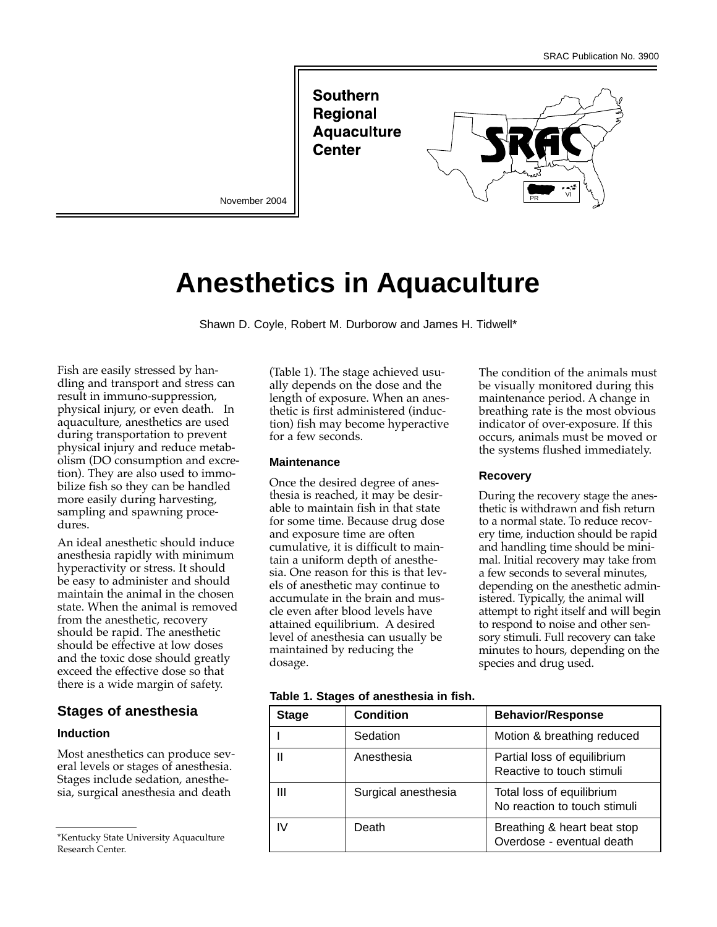**Southern Regional Aquaculture Center** 





# **Anesthetics in Aquaculture**

Shawn D. Coyle, Robert M. Durborow and James H. Tidwell\*

Fish are easily stressed by handling and transport and stress can result in immuno-suppression, physical injury, or even death. In aquaculture, anesthetics are used during transportation to prevent physical injury and reduce metabolism (DO consumption and excretion). They are also used to immobilize fish so they can be handled more easily during harvesting, sampling and spawning procedures.

An ideal anesthetic should induce anesthesia rapidly with minimum hyperactivity or stress. It should be easy to administer and should maintain the animal in the chosen state. When the animal is removed from the anesthetic, recovery should be rapid. The anesthetic should be effective at low doses and the toxic dose should greatly exceed the effective dose so that there is a wide margin of safety.

## **Stages of anesthesia**

#### **Induction**

Most anesthetics can produce several levels or stages of anesthesia. Stages include sedation, anesthesia, surgical anesthesia and death

(Table 1). The stage achieved usually depends on the dose and the length of exposure. When an anesthetic is first administered (induction) fish may become hyperactive for a few seconds.

#### **Maintenance**

Once the desired degree of anesthesia is reached, it may be desirable to maintain fish in that state for some time. Because drug dose and exposure time are often cumulative, it is difficult to maintain a uniform depth of anesthesia. One reason for this is that levels of anesthetic may continue to accumulate in the brain and muscle even after blood levels have attained equilibrium. A desired level of anesthesia can usually be maintained by reducing the dosage.

#### **Table 1. Stages of anesthesia in fish.**

| <b>Stage</b> | <b>Condition</b>    | <b>Behavior/Response</b>                                  |  |  |
|--------------|---------------------|-----------------------------------------------------------|--|--|
|              | Sedation            | Motion & breathing reduced                                |  |  |
|              | Anesthesia          | Partial loss of equilibrium<br>Reactive to touch stimuli  |  |  |
| Ш            | Surgical anesthesia | Total loss of equilibrium<br>No reaction to touch stimuli |  |  |
| IV           | Death               | Breathing & heart beat stop<br>Overdose - eventual death  |  |  |

The condition of the animals must be visually monitored during this maintenance period. A change in breathing rate is the most obvious indicator of over-exposure. If this occurs, animals must be moved or the systems flushed immediately.

#### **Recovery**

During the recovery stage the anesthetic is withdrawn and fish return to a normal state. To reduce recovery time, induction should be rapid and handling time should be minimal. Initial recovery may take from a few seconds to several minutes, depending on the anesthetic administered. Typically, the animal will attempt to right itself and will begin to respond to noise and other sensory stimuli. Full recovery can take minutes to hours, depending on the species and drug used.

<sup>\*</sup>Kentucky State University Aquaculture Research Center.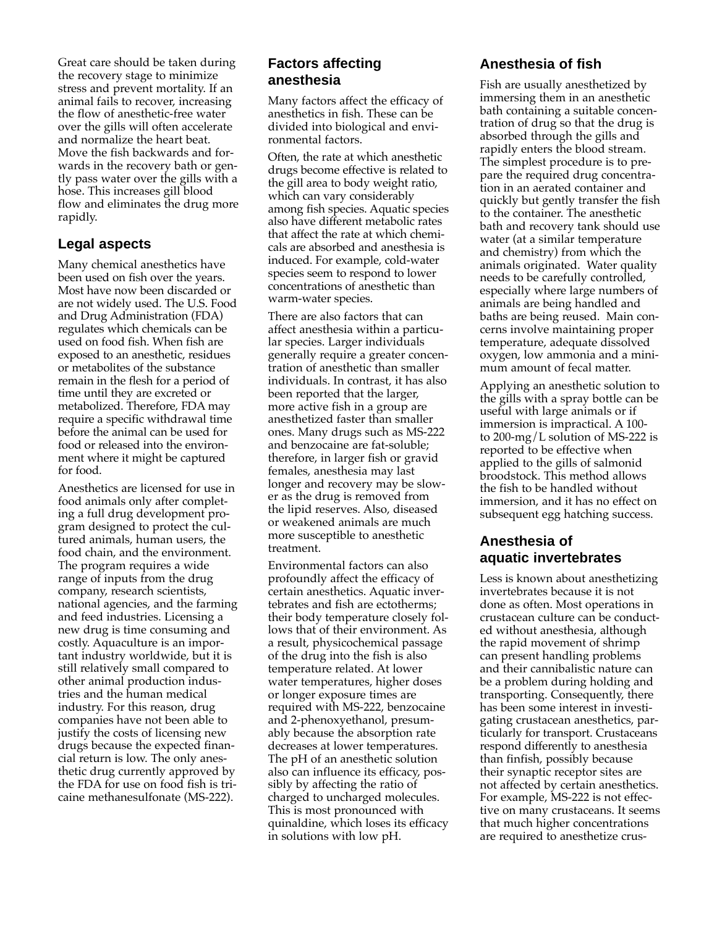Great care should be taken during the recovery stage to minimize stress and prevent mortality. If an animal fails to recover, increasing the flow of anesthetic-free water over the gills will often accelerate and normalize the heart beat. Move the fish backwards and forwards in the recovery bath or gently pass water over the gills with a hose. This increases gill blood flow and eliminates the drug more rapidly.

# **Legal aspects**

Many chemical anesthetics have been used on fish over the years. Most have now been discarded or are not widely used. The U.S. Food and Drug Administration (FDA) regulates which chemicals can be used on food fish. When fish are exposed to an anesthetic, residues or metabolites of the substance remain in the flesh for a period of time until they are excreted or metabolized. Therefore, FDA may require a specific withdrawal time before the animal can be used for food or released into the environment where it might be captured for food.

Anesthetics are licensed for use in food animals only after completing a full drug development program designed to protect the cultured animals, human users, the food chain, and the environment. The program requires a wide range of inputs from the drug company, research scientists, national agencies, and the farming and feed industries. Licensing a new drug is time consuming and costly. Aquaculture is an important industry worldwide, but it is still relatively small compared to other animal production industries and the human medical industry. For this reason, drug companies have not been able to justify the costs of licensing new drugs because the expected financial return is low. The only anesthetic drug currently approved by the FDA for use on food fish is tricaine methanesulfonate (MS-222).

## **Factors affecting anesthesia**

Many factors affect the efficacy of anesthetics in fish. These can be divided into biological and environmental factors.

Often, the rate at which anesthetic drugs become effective is related to the gill area to body weight ratio, which can vary considerably among fish species. Aquatic species also have different metabolic rates that affect the rate at which chemicals are absorbed and anesthesia is induced. For example, cold-water species seem to respond to lower concentrations of anesthetic than warm-water species.

There are also factors that can affect anesthesia within a particular species. Larger individuals generally require a greater concentration of anesthetic than smaller individuals. In contrast, it has also been reported that the larger, more active fish in a group are anesthetized faster than smaller ones. Many drugs such as MS-222 and benzocaine are fat-soluble; therefore, in larger fish or gravid females, anesthesia may last longer and recovery may be slower as the drug is removed from the lipid reserves. Also, diseased or weakened animals are much more susceptible to anesthetic treatment.

Environmental factors can also profoundly affect the efficacy of certain anesthetics. Aquatic invertebrates and fish are ectotherms; their body temperature closely follows that of their environment. As a result, physicochemical passage of the drug into the fish is also temperature related. At lower water temperatures, higher doses or longer exposure times are required with MS-222, benzocaine and 2-phenoxyethanol, presumably because the absorption rate decreases at lower temperatures. The pH of an anesthetic solution also can influence its efficacy, possibly by affecting the ratio of charged to uncharged molecules. This is most pronounced with quinaldine, which loses its efficacy in solutions with low pH.

# **Anesthesia of fish**

Fish are usually anesthetized by immersing them in an anesthetic bath containing a suitable concentration of drug so that the drug is absorbed through the gills and rapidly enters the blood stream. The simplest procedure is to prepare the required drug concentration in an aerated container and quickly but gently transfer the fish to the container. The anesthetic bath and recovery tank should use water (at a similar temperature and chemistry) from which the animals originated. Water quality needs to be carefully controlled, especially where large numbers of animals are being handled and baths are being reused. Main concerns involve maintaining proper temperature, adequate dissolved oxygen, low ammonia and a minimum amount of fecal matter.

Applying an anesthetic solution to the gills with a spray bottle can be useful with large animals or if immersion is impractical. A 100 to 200-mg/L solution of MS-222 is reported to be effective when applied to the gills of salmonid broodstock. This method allows the fish to be handled without immersion, and it has no effect on subsequent egg hatching success.

# **Anesthesia of aquatic invertebrates**

Less is known about anesthetizing invertebrates because it is not done as often. Most operations in crustacean culture can be conducted without anesthesia, although the rapid movement of shrimp can present handling problems and their cannibalistic nature can be a problem during holding and transporting. Consequently, there has been some interest in investigating crustacean anesthetics, particularly for transport. Crustaceans respond differently to anesthesia than finfish, possibly because their synaptic receptor sites are not affected by certain anesthetics. For example, MS-222 is not effective on many crustaceans. It seems that much higher concentrations are required to anesthetize crus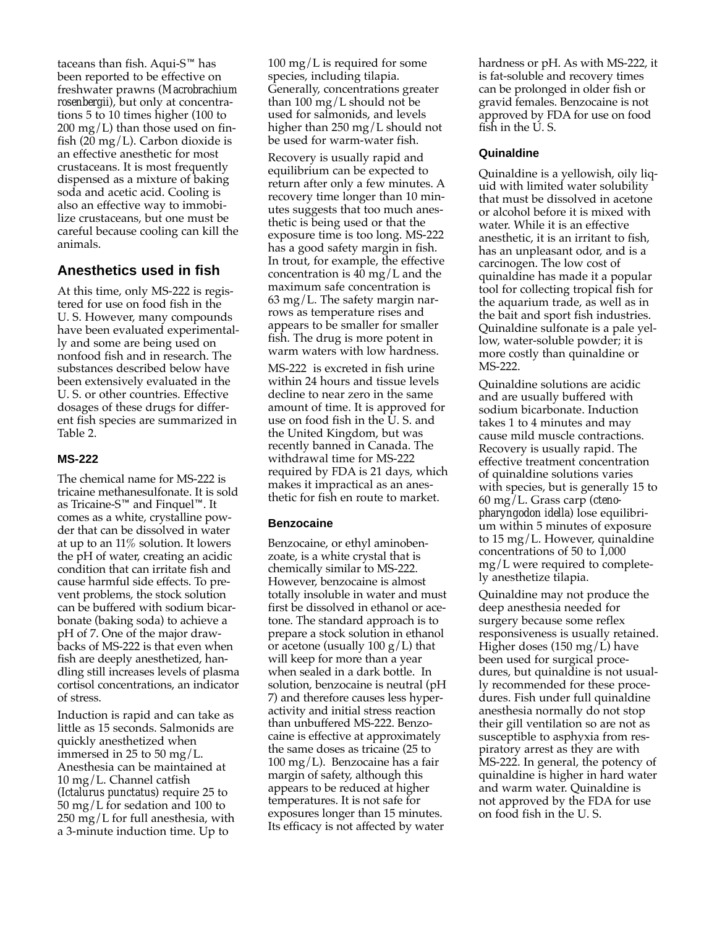taceans than fish. Aqui- $S<sup>m</sup>$  has been reported to be effective on freshwater prawns (*Macrobrachium rosenbergii*), but only at concentrations 5 to 10 times higher (100 to  $200 \text{ mg/L}$ ) than those used on finfish (20 mg/L). Carbon dioxide is an effective anesthetic for most crustaceans. It is most frequently dispensed as a mixture of baking soda and acetic acid. Cooling is also an effective way to immobilize crustaceans, but one must be careful because cooling can kill the animals.

# **Anesthetics used in fish**

At this time, only MS-222 is registered for use on food fish in the U. S. However, many compounds have been evaluated experimentally and some are being used on nonfood fish and in research. The substances described below have been extensively evaluated in the U. S. or other countries. Effective dosages of these drugs for different fish species are summarized in Table 2.

## **MS-222**

The chemical name for MS-222 is tricaine methanesulfonate. It is sold as Tricaine-S<sup> $m$ </sup> and Finquel<sup> $m$ </sup>. It comes as a white, crystalline powder that can be dissolved in water at up to an 11% solution. It lowers the pH of water, creating an acidic condition that can irritate fish and cause harmful side effects. To prevent problems, the stock solution can be buffered with sodium bicarbonate (baking soda) to achieve a pH of 7. One of the major drawbacks of MS-222 is that even when fish are deeply anesthetized, handling still increases levels of plasma cortisol concentrations, an indicator of stress.

Induction is rapid and can take as little as 15 seconds. Salmonids are quickly anesthetized when immersed in 25 to 50 mg/L. Anesthesia can be maintained at 10 mg/L. Channel catfish (*Ictalurus punctatus*) require 25 to 50 mg/L for sedation and 100 to 250 mg/L for full anesthesia, with a 3-minute induction time. Up to

 $100 \text{ mg/L}$  is required for some species, including tilapia. Generally, concentrations greater than 100 mg/L should not be used for salmonids, and levels higher than 250 mg/L should not be used for warm-water fish.

Recovery is usually rapid and equilibrium can be expected to return after only a few minutes. A recovery time longer than 10 minutes suggests that too much anesthetic is being used or that the exposure time is too long. MS-222 has a good safety margin in fish. In trout, for example, the effective concentration is  $40 \text{ mg/L}$  and the maximum safe concentration is  $63 \text{ mg/L}$ . The safety margin narrows as temperature rises and appears to be smaller for smaller fish. The drug is more potent in warm waters with low hardness.

MS-222 is excreted in fish urine within 24 hours and tissue levels decline to near zero in the same amount of time. It is approved for use on food fish in the U. S. and the United Kingdom, but was recently banned in Canada. The withdrawal time for MS-222 required by FDA is 21 days, which makes it impractical as an anesthetic for fish en route to market.

#### **Benzocaine**

Benzocaine, or ethyl aminobenzoate, is a white crystal that is chemically similar to MS-222. However, benzocaine is almost totally insoluble in water and must first be dissolved in ethanol or acetone. The standard approach is to prepare a stock solution in ethanol or acetone (usually  $100 \text{ g/L}$ ) that will keep for more than a year when sealed in a dark bottle. In solution, benzocaine is neutral (pH 7) and therefore causes less hyperactivity and initial stress reaction than unbuffered MS-222. Benzocaine is effective at approximately the same doses as tricaine (25 to 100 mg/L). Benzocaine has a fair margin of safety, although this appears to be reduced at higher temperatures. It is not safe for exposures longer than 15 minutes. Its efficacy is not affected by water

hardness or pH. As with MS-222, it is fat-soluble and recovery times can be prolonged in older fish or gravid females. Benzocaine is not approved by FDA for use on food fish in the U.S.

## **Quinaldine**

Quinaldine is a yellowish, oily liquid with limited water solubility that must be dissolved in acetone or alcohol before it is mixed with water. While it is an effective anesthetic, it is an irritant to fish, has an unpleasant odor, and is a carcinogen. The low cost of quinaldine has made it a popular tool for collecting tropical fish for the aquarium trade, as well as in the bait and sport fish industries. Quinaldine sulfonate is a pale yellow, water-soluble powder; it is more costly than quinaldine or MS-222.

Quinaldine solutions are acidic and are usually buffered with sodium bicarbonate. Induction takes 1 to 4 minutes and may cause mild muscle contractions. Recovery is usually rapid. The effective treatment concentration of quinaldine solutions varies with species, but is generally 15 to 60 mg/L. Grass carp (*ctenopharyngodon idella*) lose equilibrium within 5 minutes of exposure to 15 mg/L. However, quinaldine concentrations of 50 to 1,000 mg/L were required to completely anesthetize tilapia.

Quinaldine may not produce the deep anesthesia needed for surgery because some reflex responsiveness is usually retained. Higher doses (150 mg/L) have been used for surgical procedures, but quinaldine is not usually recommended for these procedures. Fish under full quinaldine anesthesia normally do not stop their gill ventilation so are not as susceptible to asphyxia from respiratory arrest as they are with MS-222. In general, the potency of quinaldine is higher in hard water and warm water. Quinaldine is not approved by the FDA for use on food fish in the U. S.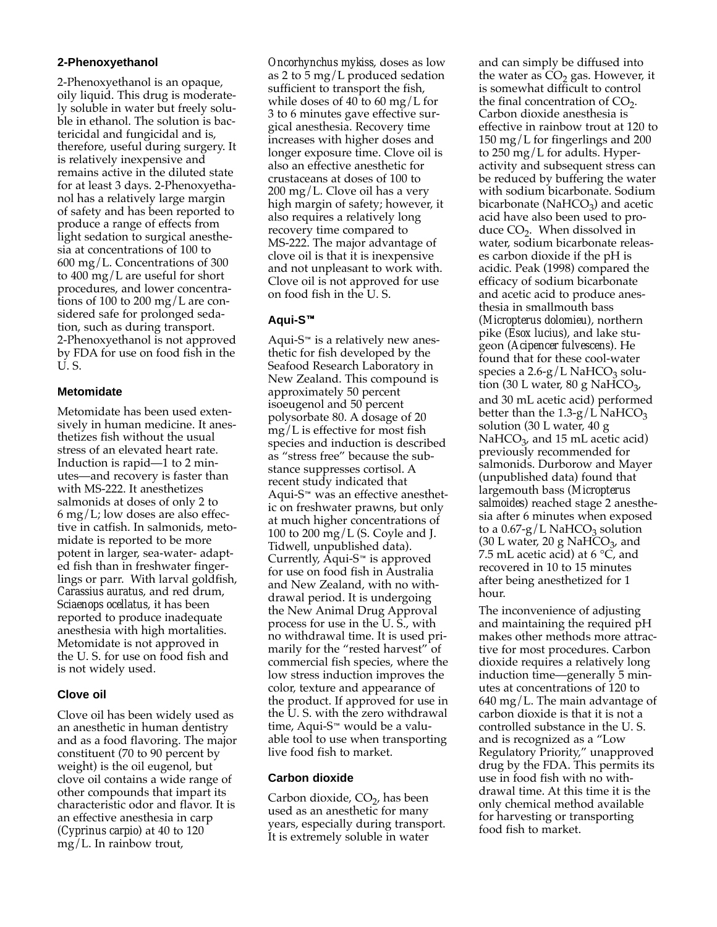## **2-Phenoxyethanol**

2-Phenoxyethanol is an opaque, oily liquid. This drug is moderately soluble in water but freely soluble in ethanol. The solution is bactericidal and fungicidal and is, therefore, useful during surgery. It is relatively inexpensive and remains active in the diluted state for at least 3 days. 2-Phenoxyethanol has a relatively large margin of safety and has been reported to produce a range of effects from light sedation to surgical anesthesia at concentrations of 100 to 600 mg/L. Concentrations of 300 to 400 mg/L are useful for short procedures, and lower concentrations of 100 to 200 mg/L are considered safe for prolonged sedation, such as during transport. 2-Phenoxyethanol is not approved by FDA for use on food fish in the U. S.

## **Metomidate**

Metomidate has been used extensively in human medicine. It anesthetizes fish without the usual stress of an elevated heart rate. Induction is rapid—1 to 2 minutes—and recovery is faster than with MS-222. It anesthetizes salmonids at doses of only 2 to  $6 \text{ mg/L}$ ; low doses are also effective in catfish. In salmonids, metomidate is reported to be more potent in larger, sea-water- adapted fish than in freshwater fingerlings or parr. With larval goldfish, *Carassius auratus*, and red drum, S*ciaenops ocellatus*, it has been reported to produce inadequate anesthesia with high mortalities. Metomidate is not approved in the U. S. for use on food fish and is not widely used.

## **Clove oil**

Clove oil has been widely used as an anesthetic in human dentistry and as a food flavoring. The major constituent (70 to 90 percent by weight) is the oil eugenol, but clove oil contains a wide range of other compounds that impart its characteristic odor and flavor. It is an effective anesthesia in carp (*Cyprinus carpio*) at 40 to 120 mg/L. In rainbow trout,

*Oncorhynchus mykiss*, doses as low as 2 to 5 mg/L produced sedation sufficient to transport the fish, while doses of 40 to 60 mg/L for 3 to 6 minutes gave effective surgical anesthesia. Recovery time increases with higher doses and longer exposure time. Clove oil is also an effective anesthetic for crustaceans at doses of 100 to  $200 \text{ mg/L}$ . Clove oil has a very high margin of safety; however, it also requires a relatively long recovery time compared to MS-222. The major advantage of clove oil is that it is inexpensive and not unpleasant to work with. Clove oil is not approved for use on food fish in the U. S.

## **Aqui-S**

Aqui-S<sup> $M$ </sup> is a relatively new anesthetic for fish developed by the Seafood Research Laboratory in New Zealand. This compound is approximately 50 percent isoeugenol and 50 percent polysorbate 80. A dosage of 20 mg/L is effective for most fish species and induction is described as "stress free" because the substance suppresses cortisol. A recent study indicated that Aqui-S<sup> $M$ </sup> was an effective anesthetic on freshwater prawns, but only at much higher concentrations of 100 to 200 mg/L (S. Coyle and J. Tidwell, unpublished data). Currently,  $\bar{A}$ qui-S<sup> $M$ </sup> is approved for use on food fish in Australia and New Zealand, with no withdrawal period. It is undergoing the New Animal Drug Approval process for use in the U. S., with no withdrawal time. It is used primarily for the "rested harvest" of commercial fish species, where the low stress induction improves the color, texture and appearance of the product. If approved for use in the U. S. with the zero withdrawal time, Aqui-S<sup>™</sup> would be a valuable tool to use when transporting live food fish to market.

#### **Carbon dioxide**

Carbon dioxide,  $CO<sub>2</sub>$ , has been used as an anesthetic for many years, especially during transport. It is extremely soluble in water

and can simply be diffused into the water as  $CO<sub>2</sub>$  gas. However, it is somewhat difficult to control the final concentration of  $CO<sub>2</sub>$ . Carbon dioxide anesthesia is effective in rainbow trout at 120 to 150 mg/L for fingerlings and 200 to 250 mg/L for adults. Hyperactivity and subsequent stress can be reduced by buffering the water with sodium bicarbonate. Sodium bicarbonate ( $NaHCO<sub>3</sub>$ ) and acetic acid have also been used to produce  $CO<sub>2</sub>$ . When dissolved in water, sodium bicarbonate releases carbon dioxide if the pH is acidic. Peak (1998) compared the efficacy of sodium bicarbonate and acetic acid to produce anesthesia in smallmouth bass (*Micropterus dolomieu*), northern pike (*Esox lucius*), and lake stugeon (*Acipencer fulvescens*). He found that for these cool-water species a  $2.6-g/L$  NaHCO<sub>3</sub> solution (30 L water, 80 g NaHCO<sub>3</sub>, and 30 mL acetic acid) performed better than the  $1.3-g/L$  NaHCO<sub>3</sub> solution (30 L water, 40 g NaHCO $_3$ , and 15 mL acetic acid) previously recommended for salmonids. Durborow and Mayer (unpublished data) found that largemouth bass (*Micropterus salmoides*) reached stage 2 anesthesia after 6 minutes when exposed to a  $0.67-g/L$  NaHCO<sub>3</sub> solution (30 L water, 20 g NaHCO<sub>3</sub>, and 7.5 mL acetic acid) at 6  $\degree$ C, and recovered in 10 to 15 minutes after being anesthetized for 1 hour.

The inconvenience of adjusting and maintaining the required pH makes other methods more attractive for most procedures. Carbon dioxide requires a relatively long induction time—generally 5 minutes at concentrations of 120 to 640 mg/L. The main advantage of carbon dioxide is that it is not a controlled substance in the U. S. and is recognized as a "Low Regulatory Priority," unapproved drug by the FDA. This permits its use in food fish with no withdrawal time. At this time it is the only chemical method available for harvesting or transporting food fish to market.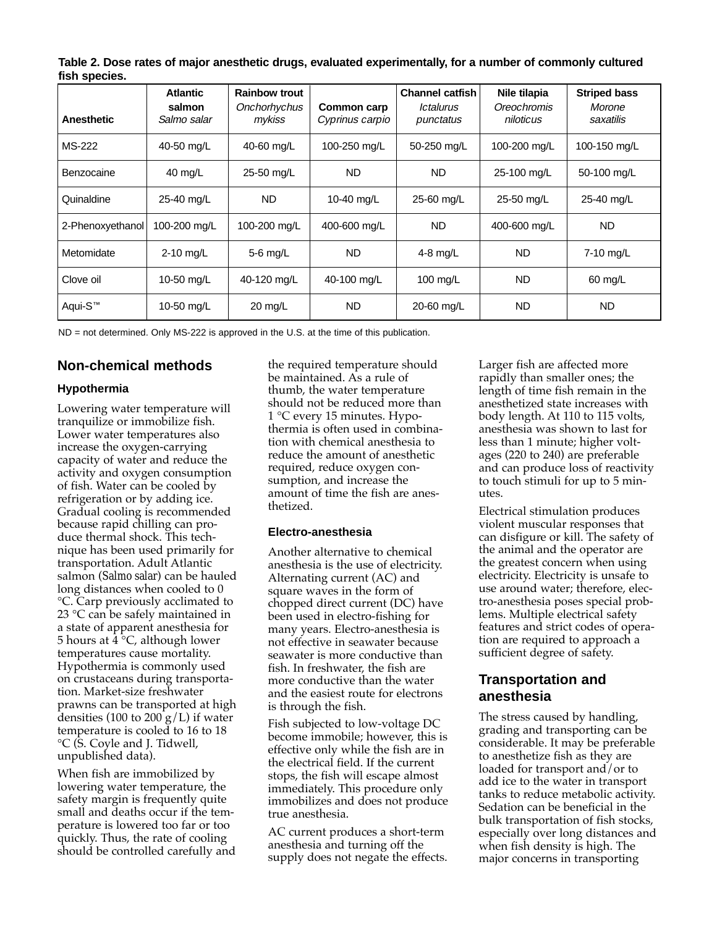**Table 2. Dose rates of major anesthetic drugs, evaluated experimentally, for a number of commonly cultured fish species.**

|                     | <b>Atlantic</b>       | <b>Rainbow trout</b>   |                                | <b>Channel catfish</b>                      | Nile tilapia             | <b>Striped bass</b> |
|---------------------|-----------------------|------------------------|--------------------------------|---------------------------------------------|--------------------------|---------------------|
| <b>Anesthetic</b>   | salmon<br>Salmo salar | Onchorhychus<br>mykiss | Common carp<br>Cyprinus carpio | <i><u><b>Ictalurus</b></u></i><br>punctatus | Oreochromis<br>niloticus | Morone<br>saxatilis |
| MS-222              | 40-50 mg/L            | 40-60 mg/L             | 100-250 mg/L                   | 50-250 mg/L                                 | 100-200 mg/L             | 100-150 mg/L        |
| Benzocaine          | 40 mg/L               | 25-50 mg/L             | <b>ND</b>                      | ND.                                         | 25-100 mg/L              | 50-100 mg/L         |
| Quinaldine          | 25-40 mg/L            | ND.                    | 10-40 mg/L                     | 25-60 mg/L                                  | 25-50 mg/L               | 25-40 mg/L          |
| 2-Phenoxyethanol    | 100-200 mg/L          | 100-200 mg/L           | 400-600 mg/L                   | ND.                                         | 400-600 mg/L             | <b>ND</b>           |
| Metomidate          | 2-10 mg/L             | $5-6$ mg/L             | <b>ND</b>                      | 4-8 $mg/L$                                  | ND.                      | 7-10 mg/L           |
| Clove oil           | 10-50 mg/L            | 40-120 mg/L            | 40-100 mg/L                    | 100 mg/L                                    | <b>ND</b>                | 60 mg/L             |
| Aqui-S <sup>™</sup> | 10-50 mg/L            | $20 \text{ mg/L}$      | <b>ND</b>                      | 20-60 mg/L                                  | ND.                      | <b>ND</b>           |

ND = not determined. Only MS-222 is approved in the U.S. at the time of this publication.

# **Non-chemical methods**

## **Hypothermia**

Lowering water temperature will tranquilize or immobilize fish. Lower water temperatures also increase the oxygen-carrying capacity of water and reduce the activity and oxygen consumption of fish. Water can be cooled by refrigeration or by adding ice. Gradual cooling is recommended because rapid chilling can produce thermal shock. This technique has been used primarily for transportation. Adult Atlantic salmon (*Salmo salar*) can be hauled long distances when cooled to 0 °C. Carp previously acclimated to 23 °C can be safely maintained in a state of apparent anesthesia for 5 hours at  $4 \text{ }^{\circ}C$ , although lower temperatures cause mortality. Hypothermia is commonly used on crustaceans during transportation. Market-size freshwater prawns can be transported at high densities (100 to 200  $g/L$ ) if water temperature is cooled to 16 to 18 °C (S. Coyle and J. Tidwell, unpublished data).

When fish are immobilized by lowering water temperature, the safety margin is frequently quite small and deaths occur if the temperature is lowered too far or too quickly. Thus, the rate of cooling should be controlled carefully and the required temperature should be maintained. As a rule of thumb, the water temperature should not be reduced more than 1 °C every 15 minutes. Hypothermia is often used in combination with chemical anesthesia to reduce the amount of anesthetic required, reduce oxygen consumption, and increase the amount of time the fish are anesthetized.

#### **Electro-anesthesia**

Another alternative to chemical anesthesia is the use of electricity. Alternating current (AC) and square waves in the form of chopped direct current (DC) have been used in electro-fishing for many years. Electro-anesthesia is not effective in seawater because seawater is more conductive than fish. In freshwater, the fish are more conductive than the water and the easiest route for electrons is through the fish.

Fish subjected to low-voltage DC become immobile; however, this is effective only while the fish are in the electrical field. If the current stops, the fish will escape almost immediately. This procedure only immobilizes and does not produce true anesthesia.

AC current produces a short-term anesthesia and turning off the supply does not negate the effects. Larger fish are affected more rapidly than smaller ones; the length of time fish remain in the anesthetized state increases with body length. At 110 to 115 volts, anesthesia was shown to last for less than 1 minute; higher voltages (220 to 240) are preferable and can produce loss of reactivity to touch stimuli for up to 5 minutes.

Electrical stimulation produces violent muscular responses that can disfigure or kill. The safety of the animal and the operator are the greatest concern when using electricity. Electricity is unsafe to use around water; therefore, electro-anesthesia poses special problems. Multiple electrical safety features and strict codes of operation are required to approach a sufficient degree of safety.

## **Transportation and anesthesia**

The stress caused by handling, grading and transporting can be considerable. It may be preferable to anesthetize fish as they are loaded for transport and/or to add ice to the water in transport tanks to reduce metabolic activity. Sedation can be beneficial in the bulk transportation of fish stocks, especially over long distances and when fish density is high. The major concerns in transporting